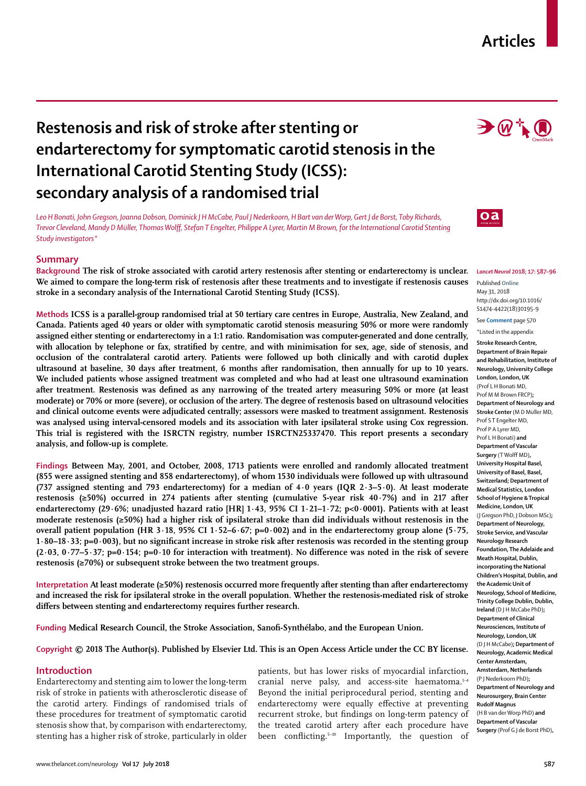# **Articles**

# **Restenosis and risk of stroke after stenting or endarterectomy for symptomatic carotid stenosis in the International Carotid Stenting Study (ICSS): secondary analysis of a randomised trial**

*Leo H Bonati, John Gregson, Joanna Dobson, Dominick J H McCabe, Paul J Nederkoorn, H Bart van der Worp, Gert J de Borst, Toby Richards, Trevor Cleveland, Mandy D Müller, Thomas Wolff, Stefan T Engelter, Philippe A Lyrer, Martin M Brown, for the International Carotid Stenting Study investigators\**

## **Summary**

**Background The risk of stroke associated with carotid artery restenosis after stenting or endarterectomy is unclear. We aimed to compare the long-term risk of restenosis after these treatments and to investigate if restenosis causes stroke in a secondary analysis of the International Carotid Stenting Study (ICSS).**

**Methods ICSS is a parallel-group randomised trial at 50 tertiary care centres in Europe, Australia, New Zealand, and Canada. Patients aged 40 years or older with symptomatic carotid stenosis measuring 50% or more were randomly assigned either stenting or endarterectomy in a 1:1 ratio. Randomisation was computer-generated and done centrally, with allocation by telephone or fax, stratified by centre, and with minimisation for sex, age, side of stenosis, and occlusion of the contralateral carotid artery. Patients were followed up both clinically and with carotid duplex ultrasound at baseline, 30 days after treatment, 6 months after randomisation, then annually for up to 10 years. We included patients whose assigned treatment was completed and who had at least one ultrasound examination after treatment. Restenosis was defined as any narrowing of the treated artery measuring 50% or more (at least moderate) or 70% or more (severe), or occlusion of the artery. The degree of restenosis based on ultrasound velocities and clinical outcome events were adjudicated centrally; assessors were masked to treatment assignment. Restenosis was analysed using interval-censored models and its association with later ipsilateral stroke using Cox regression. This trial is registered with the ISRCTN registry, number ISRCTN25337470. This report presents a secondary analysis, and follow-up is complete.** 

**Findings Between May, 2001, and October, 2008, 1713 patients were enrolled and randomly allocated treatment (855 were assigned stenting and 858 endarterectomy), of whom 1530 individuals were followed up with ultrasound (737 assigned stenting and 793 endarterectomy) for a median of 4·0 years (IQR 2·3–5·0). At least moderate restenosis (≥50%) occurred in 274 patients after stenting (cumulative 5-year risk 40·7%) and in 217 after endarterectomy (29·6%; unadjusted hazard ratio [HR] 1·43, 95% CI 1·21–1·72; p<0·0001). Patients with at least moderate restenosis (≥50%) had a higher risk of ipsilateral stroke than did individuals without restenosis in the overall patient population (HR 3·18, 95% CI 1·52–6·67; p=0·002) and in the endarterectomy group alone (5·75, 1·80–18·33; p=0·003), but no significant increase in stroke risk after restenosis was recorded in the stenting group (2·03, 0·77–5·37; p=0·154; p=0·10 for interaction with treatment). No difference was noted in the risk of severe restenosis (≥70%) or subsequent stroke between the two treatment groups.**

**Interpretation At least moderate (≥50%) restenosis occurred more frequently after stenting than after endarterectomy and increased the risk for ipsilateral stroke in the overall population. Whether the restenosis-mediated risk of stroke differs between stenting and endarterectomy requires further research.**

**Funding Medical Research Council, the Stroke Association, Sanofi-Synthélabo, and the European Union.**

**Copyright © 2018 The Author(s). Published by Elsevier Ltd. This is an Open Access Article under the CC BY license.**

## **Introduction**

Endarterectomy and stenting aim to lower the long-term risk of stroke in patients with atherosclerotic disease of the carotid artery. Findings of randomised trials of these procedures for treatment of symptomatic carotid stenosis show that, by comparison with endarterectomy, stenting has a higher risk of stroke, particularly in older patients, but has lower risks of myocardial infarction, cranial nerve palsy, and access-site haematoma.<sup>1-4</sup> Beyond the initial periprocedural period, stenting and endarterectomy were equally effective at preventing recurrent stroke, but findings on long-term patency of the treated carotid artery after each procedure have been conflicting.5–10 Importantly, the question of



 $\rightarrow$   $@$   $\uparrow$   $@$ 



*Lancet Neurol* **2018; 17: 587–96**

Published **Online** May 31, 2018 http://dx.doi.org/10.1016/ S1474-4422(18)30195-9 See **Comment** page 570

\*Listed in the appendix

**Stroke Research Centre, Department of Brain Repair and Rehabilitation, Institute of Neurology, University College London, London, UK**  (Prof L H Bonati MD, Prof M M Brown FRCP)**; Department of Neurology and Stroke Center** (M D Müller MD, Prof S T Engelter MD, Prof P A Lyrer MD, Prof L H Bonati) **and Department of Vascular Surgery** (T Wolff MD)**, University Hospital Basel, University of Basel, Basel, Switzerland; Department of Medical Statistics, London School of Hygiene & Tropical Medicine, London, UK**  (J Gregson PhD, J Dobson MSc)**; Department of Neurology, Stroke Service, and Vascular Neurology Research Foundation, The Adelaide and Meath Hospital, Dublin, incorporating the National Children's Hospital, Dublin, and the Academic Unit of Neurology, School of Medicine, Trinity College Dublin, Dublin, Ireland** (D J H McCabe PhD)**; Department of Clinical Neurosciences, Institute of Neurology, London, UK**  (D J H McCabe)**; Department of Neurology, Academic Medical Center Amsterdam, Amsterdam, Netherlands**  (P J Nederkoorn PhD)**; Department of Neurology and Neurosurgery, Brain Center Rudolf Magnus**  (H B van der Worp PhD) **and Department of Vascular Surgery** (Prof G J de Borst PhD)**,**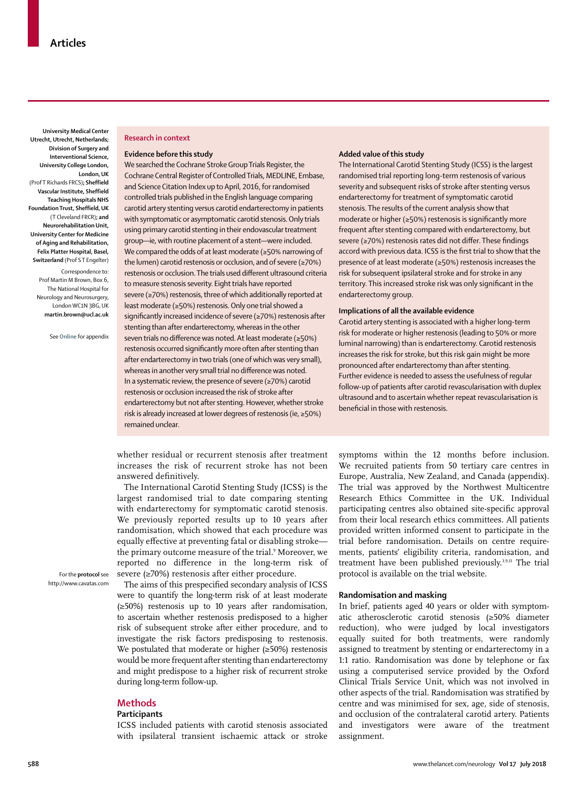**University Medical Center Utrecht, Utrecht, Netherlands; Division of Surgery and Interventional Science, University College London, London, UK**  (Prof T Richards FRCS)**; Sheffield Vascular Institute, Sheffield Teaching Hospitals NHS Foundation Trust, Sheffield, UK**  (T Cleveland FRCR)**; and Neurorehabilitation Unit, University Center for Medicine of Aging and Rehabilitation, Felix Platter Hospital, Basel, Switzerland** (Prof S T Engelter)

Correspondence to: Prof Martin M Brown, Box 6, The National Hospital for Neurology and Neurosurgery, London WC1N 3BG, UK **martin.brown@ucl.ac.uk**

See **Online** for appendix

#### **Research in context**

#### **Evidence before this study**

We searched the Cochrane Stroke Group Trials Register, the Cochrane Central Register of Controlled Trials, MEDLINE, Embase, and Science Citation Index up to April, 2016, for randomised controlled trials published in the English language comparing carotid artery stenting versus carotid endarterectomy in patients with symptomatic or asymptomatic carotid stenosis. Only trials using primary carotid stenting in their endovascular treatment group—ie, with routine placement of a stent—were included. We compared the odds of at least moderate (≥50% narrowing of the lumen) carotid restenosis or occlusion, and of severe (≥70%) restenosis or occlusion. The trials used different ultrasound criteria to measure stenosis severity. Eight trials have reported severe (≥70%) restenosis, three of which additionally reported at least moderate (≥50%) restenosis. Only one trial showed a significantly increased incidence of severe (≥70%) restenosis after stenting than after endarterectomy, whereas in the other seven trials no difference was noted. At least moderate (≥50%) restenosis occurred significantly more often after stenting than after endarterectomy in two trials (one of which was very small), whereas in another very small trial no difference was noted. In a systematic review, the presence of severe (≥70%) carotid restenosis or occlusion increased the risk of stroke after endarterectomy but not after stenting. However, whether stroke risk is already increased at lower degrees of restenosis (ie, ≥50%) remained unclear.

#### **Added value of this study**

The International Carotid Stenting Study (ICSS) is the largest randomised trial reporting long-term restenosis of various severity and subsequent risks of stroke after stenting versus endarterectomy for treatment of symptomatic carotid stenosis. The results of the current analysis show that moderate or higher (≥50%) restenosis is significantly more frequent after stenting compared with endarterectomy, but severe (≥70%) restenosis rates did not differ. These findings accord with previous data. ICSS is the first trial to show that the presence of at least moderate (≥50%) restenosis increases the risk for subsequent ipsilateral stroke and for stroke in any territory. This increased stroke risk was only significant in the endarterectomy group.

#### **Implications of all the available evidence**

Carotid artery stenting is associated with a higher long-term risk for moderate or higher restenosis (leading to 50% or more luminal narrowing) than is endarterectomy. Carotid restenosis increases the risk for stroke, but this risk gain might be more pronounced after endarterectomy than after stenting. Further evidence is needed to assess the usefulness of regular follow-up of patients after carotid revascularisation with duplex ultrasound and to ascertain whether repeat revascularisation is beneficial in those with restenosis.

whether residual or recurrent stenosis after treatment increases the risk of recurrent stroke has not been answered definitively.

The International Carotid Stenting Study (ICSS) is the largest randomised trial to date comparing stenting with endarterectomy for symptomatic carotid stenosis. We previously reported results up to 10 years after randomisation, which showed that each procedure was equally effective at preventing fatal or disabling stroke the primary outcome measure of the trial.<sup>9</sup> Moreover, we reported no difference in the long-term risk of severe (≥70%) restenosis after either procedure.

For the **protocol** see http://www.cavatas.com

The aims of this prespecified secondary analysis of ICSS were to quantify the long-term risk of at least moderate (≥50%) restenosis up to 10 years after randomisation, to ascertain whether restenosis predisposed to a higher risk of subsequent stroke after either procedure, and to investigate the risk factors predisposing to restenosis. We postulated that moderate or higher (≥50%) restenosis would be more frequent after stenting than endarterectomy and might predispose to a higher risk of recurrent stroke during long-term follow-up.

#### **Methods**

#### **Participants**

ICSS included patients with carotid stenosis associated with ipsilateral transient ischaemic attack or stroke symptoms within the 12 months before inclusion. We recruited patients from 50 tertiary care centres in Europe, Australia, New Zealand, and Canada (appendix). The trial was approved by the Northwest Multicentre Research Ethics Committee in the UK. Individual participating centres also obtained site-specific approval from their local research ethics committees. All patients provided written informed consent to participate in the trial before randomisation. Details on centre requirements, patients' eligibility criteria, randomisation, and treatment have been published previously.<sup>3,9,11</sup> The trial [protocol](http://www.cavatas.com) is available on the trial website.

#### **Randomisation and masking**

In brief, patients aged 40 years or older with symptomatic atherosclerotic carotid stenosis (≥50% diameter reduction), who were judged by local investigators equally suited for both treatments, were randomly assigned to treatment by stenting or endarterectomy in a 1:1 ratio. Randomisation was done by telephone or fax using a computerised service provided by the Oxford Clinical Trials Service Unit, which was not involved in other aspects of the trial. Randomisation was stratified by centre and was minimised for sex, age, side of stenosis, and occlusion of the contralateral carotid artery. Patients and investigators were aware of the treatment assignment.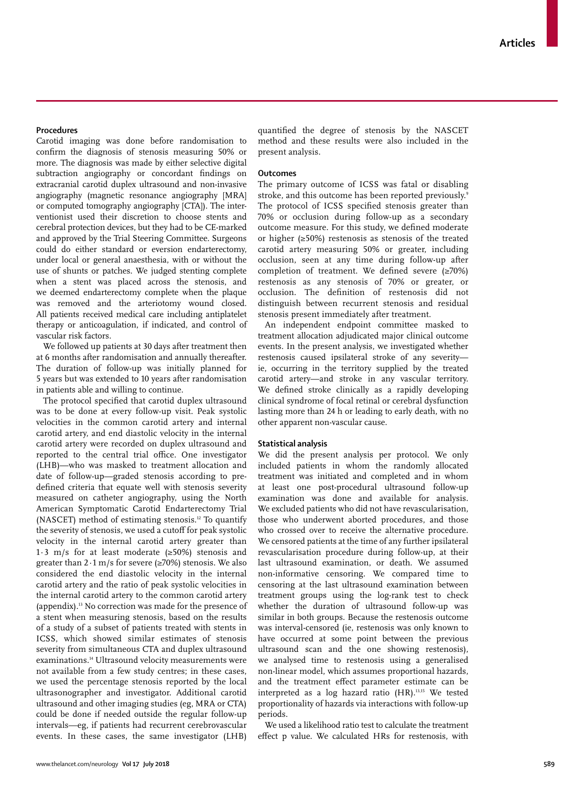Carotid imaging was done before randomisation to confirm the diagnosis of stenosis measuring 50% or more. The diagnosis was made by either selective digital subtraction angiography or concordant findings on extracranial carotid duplex ultrasound and non-invasive angiography (magnetic resonance angiography [MRA] or computed tomography angiography [CTA]). The interventionist used their discretion to choose stents and cerebral protection devices, but they had to be CE-marked and approved by the Trial Steering Committee. Surgeons could do either standard or eversion endarterectomy, under local or general anaesthesia, with or without the use of shunts or patches. We judged stenting complete when a stent was placed across the stenosis, and we deemed endarterectomy complete when the plaque was removed and the arteriotomy wound closed. All patients received medical care including antiplatelet therapy or anticoagulation, if indicated, and control of vascular risk factors.

We followed up patients at 30 days after treatment then at 6 months after randomisation and annually thereafter. The duration of follow-up was initially planned for 5 years but was extended to 10 years after randomisation in patients able and willing to continue.

The protocol specified that carotid duplex ultrasound was to be done at every follow-up visit. Peak systolic velocities in the common carotid artery and internal carotid artery, and end diastolic velocity in the internal carotid artery were recorded on duplex ultrasound and reported to the central trial office. One investigator (LHB)—who was masked to treatment allocation and date of follow-up—graded stenosis according to predefined criteria that equate well with stenosis severity measured on catheter angiography, using the North American Symptomatic Carotid Endarterectomy Trial (NASCET) method of estimating stenosis.12 To quantify the severity of stenosis, we used a cutoff for peak systolic velocity in the internal carotid artery greater than 1·3 m/s for at least moderate (≥50%) stenosis and greater than  $2 \cdot 1 \text{ m/s}$  for severe ( $\geq 70\%$ ) stenosis. We also considered the end diastolic velocity in the internal carotid artery and the ratio of peak systolic velocities in the internal carotid artery to the common carotid artery (appendix).13 No correction was made for the presence of a stent when measuring stenosis, based on the results of a study of a subset of patients treated with stents in ICSS, which showed similar estimates of stenosis severity from simultaneous CTA and duplex ultrasound examinations.14 Ultrasound velocity measurements were not available from a few study centres; in these cases, we used the percentage stenosis reported by the local ultrasonographer and investigator. Additional carotid ultrasound and other imaging studies (eg, MRA or CTA) could be done if needed outside the regular follow-up intervals—eg, if patients had recurrent cerebrovascular events. In these cases, the same investigator (LHB) quantified the degree of stenosis by the NASCET method and these results were also included in the present analysis.

#### **Outcomes**

The primary outcome of ICSS was fatal or disabling stroke, and this outcome has been reported previously.<sup>9</sup> The protocol of ICSS specified stenosis greater than 70% or occlusion during follow-up as a secondary outcome measure. For this study, we defined moderate or higher (≥50%) restenosis as stenosis of the treated carotid artery measuring 50% or greater, including occlusion, seen at any time during follow-up after completion of treatment. We defined severe (≥70%) restenosis as any stenosis of 70% or greater, or occlusion. The definition of restenosis did not distinguish between recurrent stenosis and residual stenosis present immediately after treatment.

An independent endpoint committee masked to treatment allocation adjudicated major clinical outcome events. In the present analysis, we investigated whether restenosis caused ipsilateral stroke of any severity ie, occurring in the territory supplied by the treated carotid artery—and stroke in any vascular territory. We defined stroke clinically as a rapidly developing clinical syndrome of focal retinal or cerebral dysfunction lasting more than 24 h or leading to early death, with no other apparent non-vascular cause.

### **Statistical analysis**

We did the present analysis per protocol. We only included patients in whom the randomly allocated treatment was initiated and completed and in whom at least one post-procedural ultrasound follow-up examination was done and available for analysis. We excluded patients who did not have revascularisation, those who underwent aborted procedures, and those who crossed over to receive the alternative procedure. We censored patients at the time of any further ipsilateral revascularisation procedure during follow-up, at their last ultrasound examination, or death. We assumed non-informative censoring. We compared time to censoring at the last ultrasound examination between treatment groups using the log-rank test to check whether the duration of ultrasound follow-up was similar in both groups. Because the restenosis outcome was interval-censored (ie, restenosis was only known to have occurred at some point between the previous ultrasound scan and the one showing restenosis), we analysed time to restenosis using a generalised non-linear model, which assumes proportional hazards, and the treatment effect parameter estimate can be interpreted as a log hazard ratio (HR).13,15 We tested proportionality of hazards via interactions with follow-up periods.

We used a likelihood ratio test to calculate the treatment effect p value. We calculated HRs for restenosis, with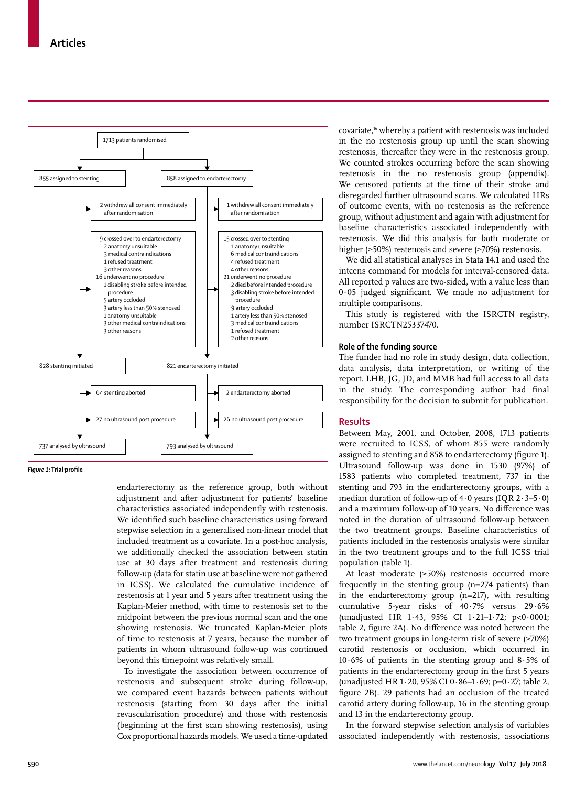

*Figure 1:* **Trial profile**

endarterectomy as the reference group, both without adjustment and after adjustment for patients' baseline characteristics associated independently with restenosis. We identified such baseline characteristics using forward stepwise selection in a generalised non-linear model that included treatment as a covariate. In a post-hoc analysis, we additionally checked the association between statin use at 30 days after treatment and restenosis during follow-up (data for statin use at baseline were not gathered in ICSS). We calculated the cumulative incidence of restenosis at 1 year and 5 years after treatment using the Kaplan-Meier method, with time to restenosis set to the midpoint between the previous normal scan and the one showing restenosis. We truncated Kaplan-Meier plots of time to restenosis at 7 years, because the number of patients in whom ultrasound follow-up was continued beyond this timepoint was relatively small.

To investigate the association between occurrence of restenosis and subsequent stroke during follow-up, we compared event hazards between patients without restenosis (starting from 30 days after the initial revascularisation procedure) and those with restenosis (beginning at the first scan showing restenosis), using Cox proportional hazards models. We used a time-updated covariate,16 whereby a patient with restenosis was included in the no restenosis group up until the scan showing restenosis, thereafter they were in the restenosis group. We counted strokes occurring before the scan showing restenosis in the no restenosis group (appendix). We censored patients at the time of their stroke and disregarded further ultrasound scans. We calculated HRs of outcome events, with no restenosis as the reference group, without adjustment and again with adjustment for baseline characteristics associated independently with restenosis. We did this analysis for both moderate or higher (≥50%) restenosis and severe (≥70%) restenosis.

We did all statistical analyses in Stata 14.1 and used the intcens command for models for interval-censored data. All reported p values are two-sided, with a value less than 0∙05 judged significant. We made no adjustment for multiple comparisons.

This study is registered with the ISRCTN registry, number ISRCTN25337470.

### **Role of the funding source**

The funder had no role in study design, data collection, data analysis, data interpretation, or writing of the report. LHB, JG, JD, and MMB had full access to all data in the study. The corresponding author had final responsibility for the decision to submit for publication.

#### **Results**

Between May, 2001, and October, 2008, 1713 patients were recruited to ICSS, of whom 855 were randomly assigned to stenting and 858 to endarterectomy (figure 1). Ultrasound follow-up was done in 1530 (97%) of 1583 patients who completed treatment, 737 in the stenting and 793 in the endarterectomy groups, with a median duration of follow-up of  $4.0$  years (IQR  $2.3-5.0$ ) and a maximum follow-up of 10 years. No difference was noted in the duration of ultrasound follow-up between the two treatment groups. Baseline characteristics of patients included in the restenosis analysis were similar in the two treatment groups and to the full ICSS trial population (table 1).

At least moderate (≥50%) restenosis occurred more frequently in the stenting group (n=274 patients) than in the endarterectomy group (n=217), with resulting cumulative 5-year risks of 40·7% versus 29·6% (unadjusted HR 1·43, 95% CI 1·21–1·72; p<0·0001; table 2, figure 2A). No difference was noted between the two treatment groups in long-term risk of severe (≥70%) carotid restenosis or occlusion, which occurred in  $10.6\%$  of patients in the stenting group and  $8.5\%$  of patients in the endarterectomy group in the first 5 years (unadjusted HR 1·20, 95% CI 0·86–1·69; p=0·27; table 2, figure 2B). 29 patients had an occlusion of the treated carotid artery during follow-up, 16 in the stenting group and 13 in the endarterectomy group.

In the forward stepwise selection analysis of variables associated independently with restenosis, associations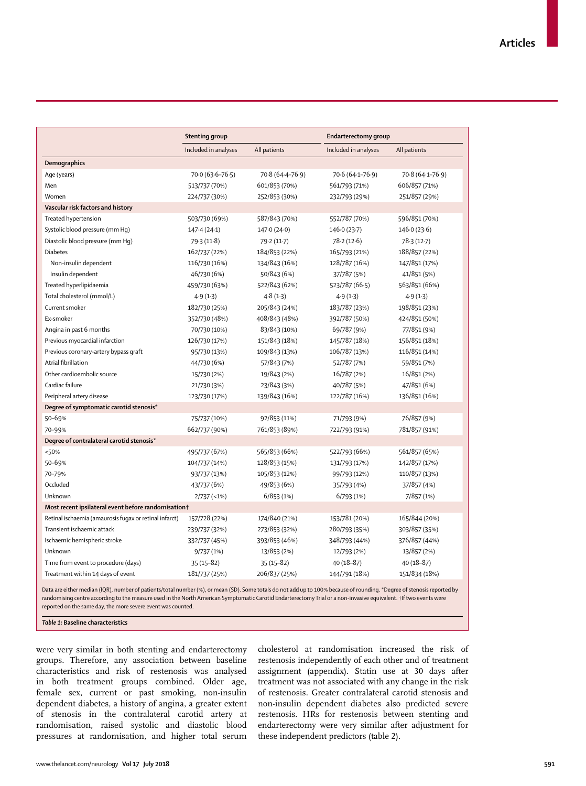|                                                        | <b>Stenting group</b> |                  | <b>Endarterectomy group</b> |                  |  |  |
|--------------------------------------------------------|-----------------------|------------------|-----------------------------|------------------|--|--|
|                                                        | Included in analyses  | All patients     | Included in analyses        | All patients     |  |  |
| <b>Demographics</b>                                    |                       |                  |                             |                  |  |  |
| Age (years)                                            | 70.0 (63.6-76.5)      | 70.8 (64.4-76.9) | 70.6 (64.1-76.9)            | 70.8 (64.1-76.9) |  |  |
| Men                                                    | 513/737 (70%)         | 601/853 (70%)    | 561/793 (71%)               | 606/857 (71%)    |  |  |
| Women                                                  | 224/737 (30%)         | 252/853 (30%)    | 232/793 (29%)               | 251/857 (29%)    |  |  |
| Vascular risk factors and history                      |                       |                  |                             |                  |  |  |
| Treated hypertension                                   | 503/730 (69%)         | 587/843 (70%)    | 552/787 (70%)               | 596/851 (70%)    |  |  |
| Systolic blood pressure (mm Hq)                        | 147.4 (24.1)          | 147.0(24.0)      | 146.0 (23.7)                | 146.0(23.6)      |  |  |
| Diastolic blood pressure (mm Hq)                       | 79.3(11.8)            | 79.2 (11.7)      | 78.2(12.6)                  | 78.3 (12.7)      |  |  |
| <b>Diabetes</b>                                        | 162/737 (22%)         | 184/853 (22%)    | 165/793 (21%)               | 188/857 (22%)    |  |  |
| Non-insulin dependent                                  | 116/730 (16%)         | 134/843 (16%)    | 128/787 (16%)               | 147/851 (17%)    |  |  |
| Insulin dependent                                      | 46/730 (6%)           | 50/843 (6%)      | 37/787 (5%)                 | 41/851 (5%)      |  |  |
| Treated hyperlipidaemia                                | 459/730 (63%)         | 522/843 (62%)    | 523/787 (66.5)              | 563/851 (66%)    |  |  |
| Total cholesterol (mmol/L)                             | 4.9(1.3)              | 4.8(1.3)         | 4.9(1.3)                    | 4.9(1.3)         |  |  |
| Current smoker                                         | 182/730 (25%)         | 205/843 (24%)    | 183/787 (23%)               | 198/851 (23%)    |  |  |
| Ex-smoker                                              | 352/730 (48%)         | 408/843 (48%)    | 392/787 (50%)               | 424/851 (50%)    |  |  |
| Angina in past 6 months                                | 70/730 (10%)          | 83/843 (10%)     | 69/787 (9%)                 | 77/851 (9%)      |  |  |
| Previous myocardial infarction                         | 126/730 (17%)         | 151/843 (18%)    | 145/787 (18%)               | 156/851 (18%)    |  |  |
| Previous coronary-artery bypass graft                  | 95/730 (13%)          | 109/843 (13%)    | 106/787 (13%)               | 116/851 (14%)    |  |  |
| Atrial fibrillation                                    | 44/730 (6%)           | 57/843 (7%)      | 52/787 (7%)                 | 59/851 (7%)      |  |  |
| Other cardioembolic source                             | 15/730 (2%)           | 19/843 (2%)      | 16/787 (2%)                 | 16/851 (2%)      |  |  |
| Cardiac failure                                        | 21/730 (3%)           | 23/843 (3%)      | 40/787 (5%)                 | 47/851 (6%)      |  |  |
| Peripheral artery disease                              | 123/730 (17%)         | 139/843 (16%)    | 122/787 (16%)               | 136/851 (16%)    |  |  |
| Degree of symptomatic carotid stenosis*                |                       |                  |                             |                  |  |  |
| 50-69%                                                 | 75/737 (10%)          | 92/853 (11%)     | 71/793 (9%)                 | 76/857 (9%)      |  |  |
| 70-99%                                                 | 662/737 (90%)         | 761/853 (89%)    | 722/793 (91%)               | 781/857 (91%)    |  |  |
| Degree of contralateral carotid stenosis*              |                       |                  |                             |                  |  |  |
| < 50%                                                  | 495/737 (67%)         | 565/853 (66%)    | 522/793 (66%)               | 561/857 (65%)    |  |  |
| 50-69%                                                 | 104/737 (14%)         | 128/853 (15%)    | 131/793 (17%)               | 142/857 (17%)    |  |  |
| 70-79%                                                 | 93/737 (13%)          | 105/853 (12%)    | 99/793 (12%)                | 110/857 (13%)    |  |  |
| Occluded                                               | 43/737 (6%)           | 49/853 (6%)      | 35/793 (4%)                 | 37/857 (4%)      |  |  |
| Unknown                                                | $2/737$ (<1%)         | 6/853(1%)        | 6/793(1%)                   | 7/857 (1%)       |  |  |
| Most recent ipsilateral event before randomisation+    |                       |                  |                             |                  |  |  |
| Retinal ischaemia (amaurosis fugax or retinal infarct) | 157/728 (22%)         | 174/840 (21%)    | 153/781 (20%)               | 165/844 (20%)    |  |  |
| Transient ischaemic attack                             | 239/737 (32%)         | 273/853 (32%)    | 280/793 (35%)               | 303/857 (35%)    |  |  |
| Ischaemic hemispheric stroke                           | 332/737 (45%)         | 393/853 (46%)    | 348/793 (44%)               | 376/857 (44%)    |  |  |
| Unknown                                                | 9/737 (1%)            | 13/853 (2%)      | 12/793 (2%)                 | 13/857 (2%)      |  |  |
| Time from event to procedure (days)                    | $35(15-82)$           | $35(15-82)$      | 40 (18-87)                  | 40 (18-87)       |  |  |
| Treatment within 14 days of event                      | 181/737 (25%)         | 206/837 (25%)    | 144/791 (18%)               | 151/834 (18%)    |  |  |

Data are either median (IQR), number of patients/total number (%), or mean (SD). Some totals do not add up to 100% because of rounding. \*Degree of stenosis reported by randomising centre according to the measure used in the North American Symptomatic Carotid Endarterectomy Trial or a non-invasive equivalent. †If two events were reported on the same day, the more severe event was counted.

*Table 1:* **Baseline characteristics**

were very similar in both stenting and endarterectomy groups. Therefore, any association between baseline characteristics and risk of restenosis was analysed in both treatment groups combined. Older age, female sex, current or past smoking, non-insulin dependent diabetes, a history of angina, a greater extent of stenosis in the contralateral carotid artery at randomisation, raised systolic and diastolic blood pressures at randomisation, and higher total serum cholesterol at randomisation increased the risk of restenosis independently of each other and of treatment assignment (appendix). Statin use at 30 days after treatment was not associated with any change in the risk of restenosis. Greater contralateral carotid stenosis and non-insulin dependent diabetes also predicted severe restenosis. HRs for restenosis between stenting and endarterectomy were very similar after adjustment for these independent predictors (table 2).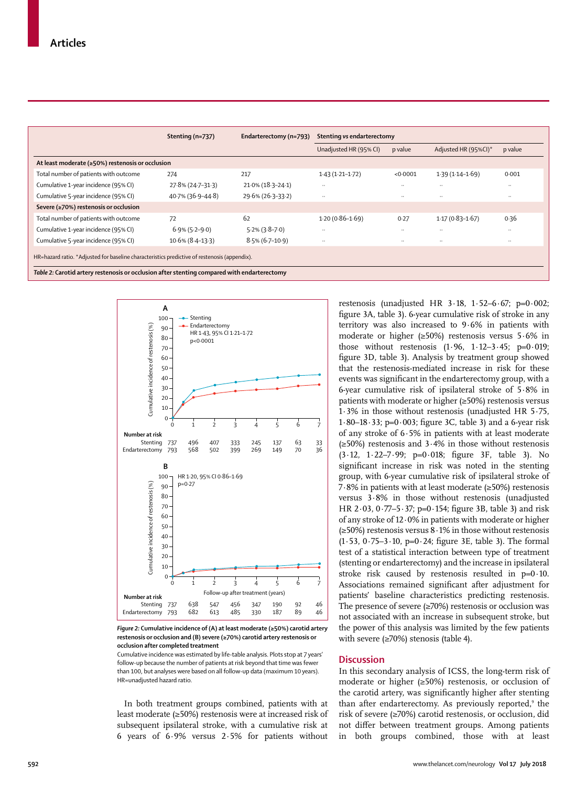|                                                                                              | Stenting (n=737)    | Endarterectomy (n=793) | Stenting vs endarterectomy |               |                      |               |  |  |  |
|----------------------------------------------------------------------------------------------|---------------------|------------------------|----------------------------|---------------|----------------------|---------------|--|--|--|
|                                                                                              |                     |                        | Unadjusted HR (95% CI)     | p value       | Adjusted HR (95%CI)* | p value       |  |  |  |
| At least moderate (≥50%) restenosis or occlusion                                             |                     |                        |                            |               |                      |               |  |  |  |
| Total number of patients with outcome                                                        | 274                 | 217                    | $1.43(1.21-1.72)$          | < 0.0001      | $1.39(1.14 - 1.69)$  | 0.001         |  |  |  |
| Cumulative 1-year incidence (95% CI)                                                         | 27.8% (24.7-31.3)   | $21.0\%$ (18.3-24.1)   | $\cdot$                    | $\cdot$       | $\cdot$ .            | $\ddotsc$     |  |  |  |
| Cumulative 5-year incidence (95% CI)                                                         | 40.7% (36.9-44.8)   | 29.6% (26.3-33.2)      |                            | $\cdot$       | $\cdot$ .            | $\cdot \cdot$ |  |  |  |
| Severe ( $\geq$ 70%) restenosis or occlusion                                                 |                     |                        |                            |               |                      |               |  |  |  |
| Total number of patients with outcome                                                        | 72                  | 62                     | $1.20(0.86 - 1.69)$        | 0.27          | $1.17(0.83 - 1.67)$  | 0.36          |  |  |  |
| Cumulative 1-year incidence (95% CI)                                                         | $6.9\%$ (5.2–9.0)   | $5.2\%$ (3.8-7.0)      |                            | $\cdot \cdot$ | $\ddotsc$            | $\ddotsc$     |  |  |  |
| Cumulative 5-year incidence (95% CI)                                                         | $10.6\%$ (8.4-13.3) | $8.5\%$ (6.7-10.9)     | $\ddotsc$                  | $\cdot$ .     | $\ddotsc$            | $\ddotsc$     |  |  |  |
| HR=hazard ratio. *Adjusted for baseline characteristics predictive of restenosis (appendix). |                     |                        |                            |               |                      |               |  |  |  |



*Figure 2:* **Cumulative incidence of (A) at least moderate (≥50%) carotid artery restenosis or occlusion and (B) severe (≥70%) carotid artery restenosis or occlusion after completed treatment**

Cumulative incidence was estimated by life-table analysis. Plots stop at 7 years' follow-up because the number of patients at risk beyond that time was fewer than 100, but analyses were based on all follow-up data (maximum 10 years). HR=unadjusted hazard ratio.

In both treatment groups combined, patients with at least moderate (≥50%) restenosis were at increased risk of subsequent ipsilateral stroke, with a cumulative risk at 6 years of 6·9% versus 2·5% for patients without restenosis (unadjusted HR  $3.18$ ,  $1.52-6.67$ ; p=0.002; figure 3A, table 3). 6-year cumulative risk of stroke in any territory was also increased to 9·6% in patients with moderate or higher (≥50%) restenosis versus 5·6% in those without restenosis  $(1.96, 1.12-3.45; p=0.019;$ figure 3D, table 3). Analysis by treatment group showed that the restenosis-mediated increase in risk for these events was significant in the endarterectomy group, with a 6-year cumulative risk of ipsilateral stroke of 5·8% in patients with moderate or higher (≥50%) restenosis versus 1·3% in those without restenosis (unadjusted HR 5·75, 1·80–18·33; p=0·003; figure 3C, table 3) and a 6-year risk of any stroke of 6·5% in patients with at least moderate (≥50%) restenosis and 3·4% in those without restenosis (3·12, 1·22–7·99; p=0·018; figure 3F, table 3). No significant increase in risk was noted in the stenting group, with 6-year cumulative risk of ipsilateral stroke of 7·8% in patients with at least moderate (≥50%) restenosis versus 3·8% in those without restenosis (unadjusted HR 2·03, 0·77–5·37; p=0·154; figure 3B, table 3) and risk of any stroke of 12·0% in patients with moderate or higher (≥50%) restenosis versus 8·1% in those without restenosis  $(1.53, 0.75-3.10, p=0.24;$  figure 3E, table 3). The formal test of a statistical interaction between type of treatment (stenting or endarterectomy) and the increase in ipsilateral stroke risk caused by restenosis resulted in  $p=0.10$ . Associations remained significant after adjustment for patients' baseline characteristics predicting restenosis. The presence of severe (≥70%) restenosis or occlusion was not associated with an increase in subsequent stroke, but the power of this analysis was limited by the few patients with severe (≥70%) stenosis (table 4).

#### **Discussion**

In this secondary analysis of ICSS, the long-term risk of moderate or higher (≥50%) restenosis, or occlusion of the carotid artery, was significantly higher after stenting than after endarterectomy. As previously reported,<sup>9</sup> the risk of severe (≥70%) carotid restenosis, or occlusion, did not differ between treatment groups. Among patients in both groups combined, those with at least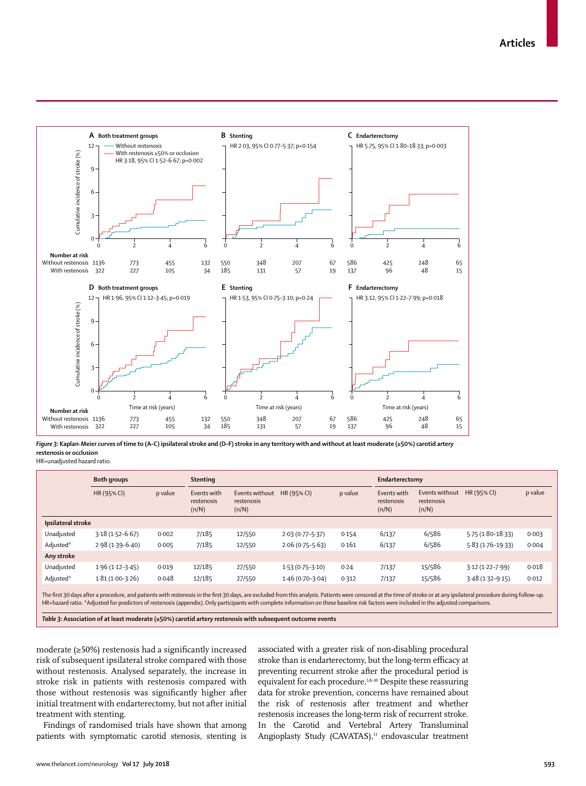

*Figure 3:* **Kaplan-Meier curves of time to (A–C) ipsilateral stroke and (D–F) stroke in any territory with and without at least moderate (≥50%) carotid artery restenosis or occlusion**

HR=unadjusted hazard ratio.

|                    | Both groups         |         | <b>Stenting</b>                    |                                       |                     |         | Endarterectomy                     |                                       |                      |         |
|--------------------|---------------------|---------|------------------------------------|---------------------------------------|---------------------|---------|------------------------------------|---------------------------------------|----------------------|---------|
|                    | HR (95% CI)         | p value | Events with<br>restenosis<br>(n/N) | Events without<br>restenosis<br>(n/N) | HR (95% CI)         | p value | Events with<br>restenosis<br>(n/N) | Events without<br>restenosis<br>(n/N) | HR (95% CI)          | p value |
| Ipsilateral stroke |                     |         |                                    |                                       |                     |         |                                    |                                       |                      |         |
| Unadjusted         | $3.18(1.52 - 6.67)$ | 0.002   | 7/185                              | 12/550                                | $2.03(0.77 - 5.37)$ | 0.154   | 6/137                              | 6/586                                 | $5.75(1.80 - 18.33)$ | 0.003   |
| Adjusted*          | $2.98(1.39 - 6.40)$ | 0.005   | 7/185                              | 12/550                                | $2.06(0.75 - 5.63)$ | 0.161   | 6/137                              | 6/586                                 | 5.83 (1.76-19.33)    | 0.004   |
| Any stroke         |                     |         |                                    |                                       |                     |         |                                    |                                       |                      |         |
| Unadjusted         | $1.96(1.12-3.45)$   | 0.019   | 12/185                             | 27/550                                | $1.53(0.75-3.10)$   | 0.24    | 7/137                              | 15/586                                | $3.12(1.22 - 7.99)$  | 0.018   |
| Adjusted*          | $1.81(1.00-3.26)$   | 0.048   | 12/185                             | 27/550                                | $1.46(0.70-3.04)$   | 0.312   | 7/137                              | 15/586                                | $3.48(1.32 - 9.15)$  | 0.012   |
|                    |                     |         |                                    |                                       |                     |         |                                    |                                       |                      |         |

The first 30 days after a procedure, and patients with restenosis in the first 30 days, are excluded from this analysis. Patients were censored at the time of stroke or at any ipsilateral procedure during follow-up. HR=hazard ratio. \*Adjusted for predictors of restenosis (appendix). Only participants with complete information on these baseline risk factors were included in the adjusted comparisons.

*Table 3:* **Association of at least moderate (≥50%) carotid artery restenosis with subsequent outcome events**

moderate (≥50%) restenosis had a significantly increased risk of subsequent ipsilateral stroke compared with those without restenosis. Analysed separately, the increase in stroke risk in patients with restenosis compared with those without restenosis was significantly higher after initial treatment with endarterectomy, but not after initial treatment with stenting.

Findings of randomised trials have shown that among patients with symptomatic carotid stenosis, stenting is associated with a greater risk of non-disabling procedural stroke than is endarterectomy, but the long-term efficacy at preventing recurrent stroke after the procedural period is equivalent for each procedure.<sup>5,8–10</sup> Despite these reassuring data for stroke prevention, concerns have remained about the risk of restenosis after treatment and whether restenosis increases the long-term risk of recurrent stroke. In the Carotid and Vertebral Artery Transluminal Angioplasty Study (CAVATAS),<sup>13</sup> endovascular treatment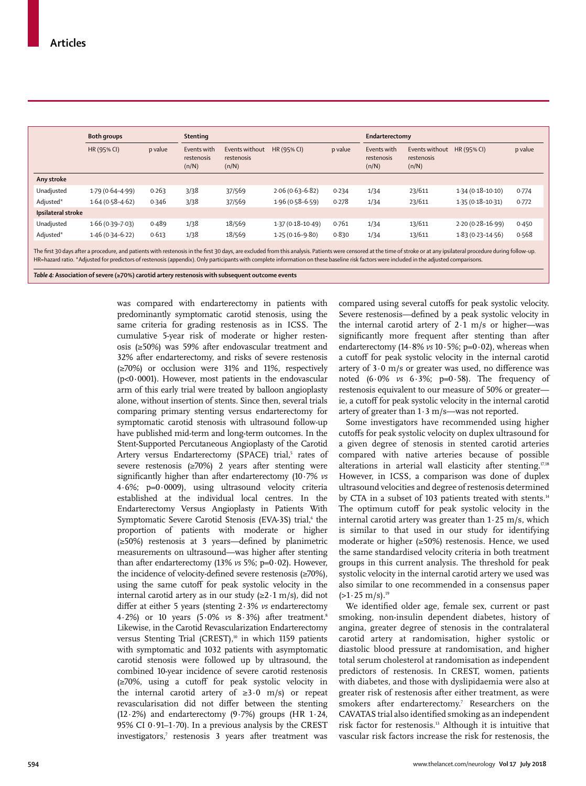|                    | Both groups         |         | <b>Stenting</b>                    |                                       |                      | Endarterectomy |                                    |                                       |                      |         |
|--------------------|---------------------|---------|------------------------------------|---------------------------------------|----------------------|----------------|------------------------------------|---------------------------------------|----------------------|---------|
|                    | HR (95% CI)         | p value | Events with<br>restenosis<br>(n/N) | Events without<br>restenosis<br>(n/N) | HR (95% CI)          | p value        | Events with<br>restenosis<br>(n/N) | Events without<br>restenosis<br>(n/N) | HR (95% CI)          | p value |
| Any stroke         |                     |         |                                    |                                       |                      |                |                                    |                                       |                      |         |
| Unadjusted         | $1.79(0.64 - 4.99)$ | 0.263   | 3/38                               | 37/569                                | $2.06(0.63 - 6.82)$  | 0.234          | 1/34                               | 23/611                                | $1.34(0.18 - 10.10)$ | 0.774   |
| Adjusted*          | $1.64(0.58 - 4.62)$ | 0.346   | 3/38                               | 37/569                                | $1.96(0.58 - 6.59)$  | 0.278          | 1/34                               | 23/611                                | $1.35(0.18 - 10.31)$ | 0.772   |
| Ipsilateral stroke |                     |         |                                    |                                       |                      |                |                                    |                                       |                      |         |
| Unadjusted         | $1.66(0.39 - 7.03)$ | 0.489   | 1/38                               | 18/569                                | $1.37(0.18 - 10.49)$ | 0.761          | 1/34                               | 13/611                                | $2.20(0.28 - 16.99)$ | 0.450   |
| Adjusted*          | $1.46(0.34 - 6.22)$ | 0.613   | 1/38                               | 18/569                                | $1.25(0.16 - 9.80)$  | 0.830          | 1/34                               | 13/611                                | $1.83(0.23 - 14.56)$ | 0.568   |
|                    |                     |         |                                    |                                       |                      |                |                                    |                                       |                      |         |

The first 30 days after a procedure, and patients with restenosis in the first 30 days, are excluded from this analysis. Patients were censored at the time of stroke or at any ipsilateral procedure during follow-up. HR=hazard ratio. \*Adjusted for predictors of restenosis (appendix). Only participants with complete information on these baseline risk factors were included in the adjusted comparisons.

*Table 4:* **Association of severe (≥70%) carotid artery restenosis with subsequent outcome events**

was compared with endarterectomy in patients with predominantly symptomatic carotid stenosis, using the same criteria for grading restenosis as in ICSS. The cumulative 5-year risk of moderate or higher restenosis (≥50%) was 59% after endovascular treatment and 32% after endarterectomy, and risks of severe restenosis (≥70%) or occlusion were 31% and 11%, respectively ( $p<0.0001$ ). However, most patients in the endovascular arm of this early trial were treated by balloon angioplasty alone, without insertion of stents. Since then, several trials comparing primary stenting versus endarterectomy for symptomatic carotid stenosis with ultrasound follow-up have published mid-term and long-term outcomes. In the Stent-Supported Percutaneous Angioplasty of the Carotid Artery versus Endarterectomy (SPACE) trial,<sup>5</sup> rates of severe restenosis (≥70%) 2 years after stenting were significantly higher than after endarterectomy (10∙7% *vs* 4∙6%; p=0·0009), using ultrasound velocity criteria established at the individual local centres. In the Endarterectomy Versus Angioplasty in Patients With Symptomatic Severe Carotid Stenosis (EVA-3S) trial,<sup>6</sup> the proportion of patients with moderate or higher (≥50%) restenosis at 3 years—defined by planimetric measurements on ultrasound—was higher after stenting than after endarterectomy (13% *vs* 5%; p=0·02). However, the incidence of velocity-defined severe restenosis (≥70%), using the same cutoff for peak systolic velocity in the internal carotid artery as in our study  $(\geq 2 \cdot 1 \text{ m/s})$ , did not differ at either 5 years (stenting 2∙3% *vs* endarterectomy 4∙2%) or 10 years (5·0% *vs* 8·3%) after treatment.8 Likewise, in the Carotid Revascularization Endarterectomy versus Stenting Trial (CREST),<sup>10</sup> in which 1159 patients with symptomatic and 1032 patients with asymptomatic carotid stenosis were followed up by ultrasound, the combined 10-year incidence of severe carotid restenosis (≥70%, using a cutoff for peak systolic velocity in the internal carotid artery of ≥3·0 m/s) or repeat revascularisation did not differ between the stenting (12·2%) and endarterectomy (9·7%) groups (HR 1·24, 95% CI 0·91–1·70). In a previous analysis by the CREST investigators,7 restenosis 3 years after treatment was compared using several cutoffs for peak systolic velocity. Severe restenosis—defined by a peak systolic velocity in the internal carotid artery of  $2.1 \text{ m/s}$  or higher—was significantly more frequent after stenting than after endarterectomy (14·8% vs 10·5%; p=0·02), whereas when a cutoff for peak systolic velocity in the internal carotid artery of 3·0 m/s or greater was used, no difference was noted  $(6.0\% \text{ vs } 6.3\%; \text{ p=0.58}).$  The frequency of restenosis equivalent to our measure of 50% or greater ie, a cutoff for peak systolic velocity in the internal carotid artery of greater than  $1·3$  m/s—was not reported.

Some investigators have recommended using higher cutoffs for peak systolic velocity on duplex ultrasound for a given degree of stenosis in stented carotid arteries compared with native arteries because of possible alterations in arterial wall elasticity after stenting.<sup>17,18</sup> However, in ICSS, a comparison was done of duplex ultrasound velocities and degree of restenosis determined by CTA in a subset of 103 patients treated with stents.<sup>14</sup> The optimum cutoff for peak systolic velocity in the internal carotid artery was greater than 1·25 m/s, which is similar to that used in our study for identifying moderate or higher (≥50%) restenosis. Hence, we used the same standardised velocity criteria in both treatment groups in this current analysis. The threshold for peak systolic velocity in the internal carotid artery we used was also similar to one recommended in a consensus paper  $(>1.25 \text{ m/s})$ .<sup>19</sup>

We identified older age, female sex, current or past smoking, non-insulin dependent diabetes, history of angina, greater degree of stenosis in the contralateral carotid artery at randomisation, higher systolic or diastolic blood pressure at randomisation, and higher total serum cholesterol at randomisation as independent predictors of restenosis. In CREST, women, patients with diabetes, and those with dyslipidaemia were also at greater risk of restenosis after either treatment, as were smokers after endarterectomy.<sup>7</sup> Researchers on the CAVATAS trial also identified smoking as an independent risk factor for restenosis.13 Although it is intuitive that vascular risk factors increase the risk for restenosis, the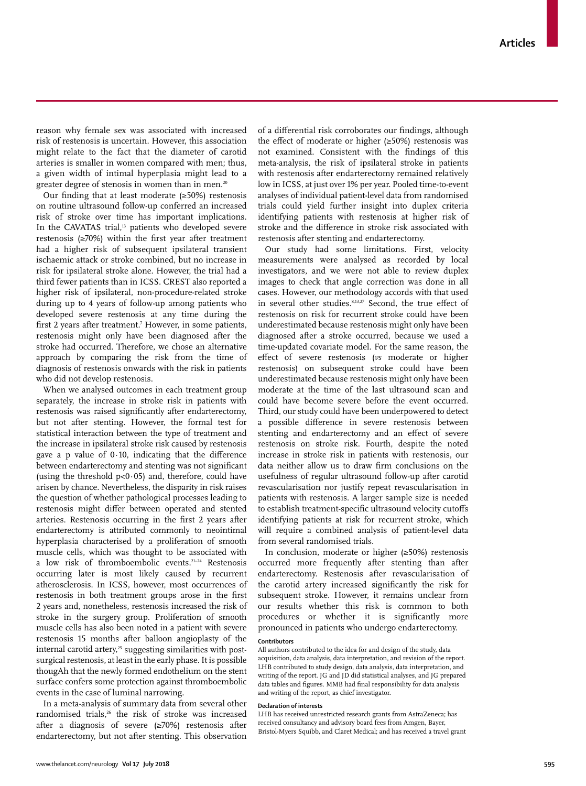reason why female sex was associated with increased risk of restenosis is uncertain. However, this association might relate to the fact that the diameter of carotid arteries is smaller in women compared with men; thus, a given width of intimal hyperplasia might lead to a greater degree of stenosis in women than in men.<sup>20</sup>

Our finding that at least moderate (≥50%) restenosis on routine ultrasound follow-up conferred an increased risk of stroke over time has important implications. In the CAVATAS trial,<sup>13</sup> patients who developed severe restenosis (≥70%) within the first year after treatment had a higher risk of subsequent ipsilateral transient ischaemic attack or stroke combined, but no increase in risk for ipsilateral stroke alone. However, the trial had a third fewer patients than in ICSS. CREST also reported a higher risk of ipsilateral, non-procedure-related stroke during up to 4 years of follow-up among patients who developed severe restenosis at any time during the first 2 years after treatment.7 However, in some patients, restenosis might only have been diagnosed after the stroke had occurred. Therefore, we chose an alternative approach by comparing the risk from the time of diagnosis of restenosis onwards with the risk in patients who did not develop restenosis.

When we analysed outcomes in each treatment group separately, the increase in stroke risk in patients with restenosis was raised significantly after endarterectomy, but not after stenting. However, the formal test for statistical interaction between the type of treatment and the increase in ipsilateral stroke risk caused by restenosis gave a p value of  $0.10$ , indicating that the difference between endarterectomy and stenting was not significant (using the threshold  $p<0.05$ ) and, therefore, could have arisen by chance. Nevertheless, the disparity in risk raises the question of whether pathological processes leading to restenosis might differ between operated and stented arteries. Restenosis occurring in the first 2 years after endarterectomy is attributed commonly to neointimal hyperplasia characterised by a proliferation of smooth muscle cells, which was thought to be associated with a low risk of thromboembolic events.<sup>21-24</sup> Restenosis occurring later is most likely caused by recurrent atherosclerosis. In ICSS, however, most occurrences of restenosis in both treatment groups arose in the first 2 years and, nonetheless, restenosis increased the risk of stroke in the surgery group. Proliferation of smooth muscle cells has also been noted in a patient with severe restenosis 15 months after balloon angioplasty of the internal carotid artery,<sup>25</sup> suggesting similarities with postsurgical restenosis, at least in the early phase. It is possible thougAh that the newly formed endothelium on the stent surface confers some protection against thromboembolic events in the case of luminal narrowing.

In a meta-analysis of summary data from several other randomised trials,<sup>26</sup> the risk of stroke was increased after a diagnosis of severe (≥70%) restenosis after endarterectomy, but not after stenting. This observation of a differential risk corroborates our findings, although the effect of moderate or higher (≥50%) restenosis was not examined. Consistent with the findings of this meta-analysis, the risk of ipsilateral stroke in patients with restenosis after endarterectomy remained relatively low in ICSS, at just over 1% per year. Pooled time-to-event analyses of individual patient-level data from randomised trials could yield further insight into duplex criteria identifying patients with restenosis at higher risk of stroke and the difference in stroke risk associated with restenosis after stenting and endarterectomy.

Our study had some limitations. First, velocity measurements were analysed as recorded by local investigators, and we were not able to review duplex images to check that angle correction was done in all cases. However, our methodology accords with that used in several other studies.8,13,27 Second, the true effect of restenosis on risk for recurrent stroke could have been underestimated because restenosis might only have been diagnosed after a stroke occurred, because we used a time-updated covariate model. For the same reason, the effect of severe restenosis (*vs* moderate or higher restenosis) on subsequent stroke could have been underestimated because restenosis might only have been moderate at the time of the last ultrasound scan and could have become severe before the event occurred. Third, our study could have been underpowered to detect a possible difference in severe restenosis between stenting and endarterectomy and an effect of severe restenosis on stroke risk. Fourth, despite the noted increase in stroke risk in patients with restenosis, our data neither allow us to draw firm conclusions on the usefulness of regular ultrasound follow-up after carotid revascularisation nor justify repeat revascularisation in patients with restenosis. A larger sample size is needed to establish treatment-specific ultrasound velocity cutoffs identifying patients at risk for recurrent stroke, which will require a combined analysis of patient-level data from several randomised trials.

In conclusion, moderate or higher (≥50%) restenosis occurred more frequently after stenting than after endarterectomy. Restenosis after revascularisation of the carotid artery increased significantly the risk for subsequent stroke. However, it remains unclear from our results whether this risk is common to both procedures or whether it is significantly more pronounced in patients who undergo endarterectomy.

#### **Contributors**

All authors contributed to the idea for and design of the study, data acquisition, data analysis, data interpretation, and revision of the report. LHB contributed to study design, data analysis, data interpretation, and writing of the report. JG and JD did statistical analyses, and JG prepared data tables and figures. MMB had final responsibility for data analysis and writing of the report, as chief investigator.

#### **Declaration of interests**

LHB has received unrestricted research grants from AstraZeneca; has received consultancy and advisory board fees from Amgen, Bayer, Bristol-Myers Squibb, and Claret Medical; and has received a travel grant